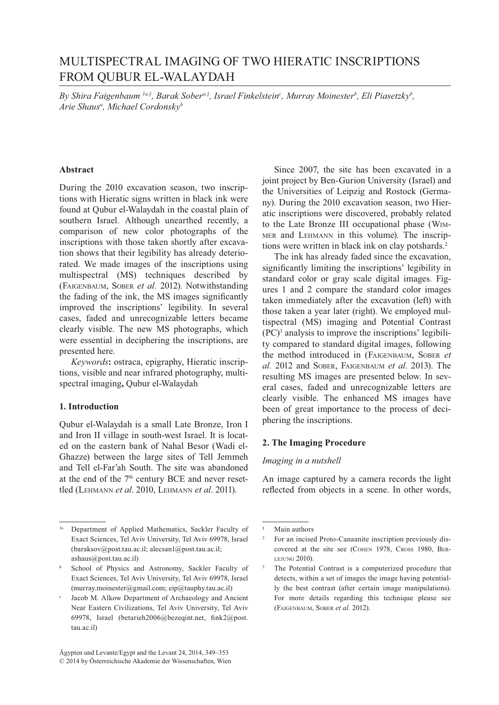# MULTISPECTRAL IMAGING OF TWO HIERATIC INSCRIPTIONS FROM QUBUR EL-WALAYDAH

*By Shira Faigenbaum 1a,§ , Barak Sobera,§ , Israel Finkelsteinc , Murray Moinesterb , Eli Piasetzkyb , Arie Shausa , Michael Cordonskyb*

## **Abstract**

During the 2010 excavation season, two inscriptions with Hieratic signs written in black ink were found at Qubur el-Walaydah in the coastal plain of southern Israel. Although unearthed recently, a comparison of new color photographs of the inscriptions with those taken shortly after excavation shows that their legibility has already deteriorated. We made images of the inscriptions using multispectral (MS) techniques described by (FAIGENBAUM, SOBER et al. 2012). Notwithstanding the fading of the ink, the MS images significantly improved the inscriptions' legibility. In several cases, faded and unrecognizable letters became clearly visible. The new MS photographs, which were essential in deciphering the inscriptions, are presented here.

*Keywords***:** ostraca, epigraphy, Hieratic inscrip tions, visible and near infrared photography, multi spectral imaging, Qubur el-Walaydah

### **1. Introduction**

Qubur el-Walaydah is a small Late Bronze, Iron I and Iron II village in south-west Israel. It is located on the eastern bank of Nahal Besor (Wadi el-Ghazze) between the large sites of Tell Jemmeh and Tell el-Far'ah South. The site was abandoned at the end of the  $7<sup>th</sup>$  century BCE and never resettled (Lehmann *et al.* 2010, Lehmann *et al.* 2011).

Since  $2007$ , the site has been excavated in a joint project by Ben-Gurion University (Israel) and the Universities of Leipzig and Rostock (Germany). During the 2010 excavation season, two Hieratic inscriptions were discovered, probably related to the Late Bronze III occupational phase (WIM-MER and LEHMANN in this volume). The inscriptions were written in black ink on clay potshards.<sup>2</sup>

The ink has already faded since the excavation, significantly limiting the inscriptions' legibility in standard color or gray scale digital images. Figures 1 and 2 compare the standard color images taken immediately after the excavation (left) with those taken a year later (right). We employed multispectral (MS) imaging and Potential Contrast  $(PC)^3$  analysis to improve the inscriptions' legibility compared to standard digital images, following the method introduced in (FAIGENBAUM, SOBER et al. 2012 and SOBER, FAIGENBAUM *et al.* 2013). The resulting MS images are presented below. In several cases, faded and unrecognizable letters are clearly visible. The enhanced MS images have been of great importance to the process of deci phering the inscriptions.

#### **2. The Imaging Procedure**

#### *Imaging in a nutshell*

An image captured by a camera records the light reflected from objects in a scene. In other words,

<sup>&</sup>lt;sup>1a</sup> Department of Applied Mathematics, Sackler Faculty of Exact Sciences, Tel Aviv University, Tel Aviv 69978, Israel (baraksov@post.tau.ac.il; alecsan1@post.tau.ac.il; ashaus@post.tau.ac.il)

b School of Physics and Astronomy, Sackler Faculty of Exact Sciences, Tel Aviv University, Tel Aviv 69978, Israel (murray.moinester@gmail.com; eip@tauphy.tau.ac.il)

c Jacob M. Alkow Department of Archaeology and Ancient Near Eastern Civilizations, Tel Aviv University, Tel Aviv 69978, Israel (betarieh2006@bezeqint.net, fink2@post.  $tau.ac-il)$ 

É Main authors

<sup>2</sup> For an incised Proto-Canaanite inscription previously discovered at the site see (COHEN 1978, CROSS 1980, BER-LEJUNG  $2010$ ).

 $\overline{\phantom{a}}$ The Potential Contrast is a computerized procedure that detects, within a set of images the image having potentially the best contrast (after certain image manipulations). For more details regarding this technique please see (FAIGENBAUM, SOBER et al. 2012).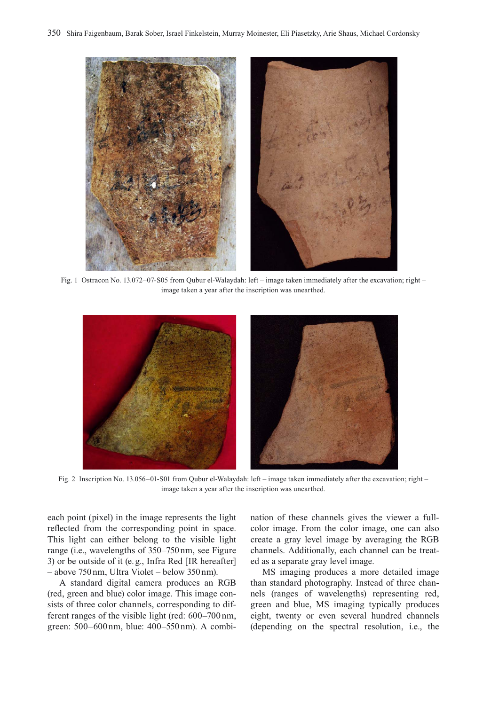

Fig. 1 Ostracon No. 13.072-07-S05 from Qubur el-Walaydah: left – image taken immediately after the excavation; right – image taken a year after the inscription was unearthed.



Fig. 2 Inscription No. 13.056–01-S01 from Qubur el-Walaydah: left – image taken immediately after the excavation; right – image taken a year after the inscription was unearthed.

each point (pixel) in the image represents the light reflected from the corresponding point in space. This light can either belong to the visible light range (i.e., wavelengths of 350–750 nm, see Figure 3) or be outside of it (e.g., Infra Red [IR hereafter]  $-$  above 750 nm, Ultra Violet – below 350 nm).

A standard digital camera produces an RGB (red, green and blue) color image. This image consists of three color channels, corresponding to different ranges of the visible light (red: 600–700 nm, green: 500–600 nm, blue: 400–550 nm). A combination of these channels gives the viewer a fullcolor image. From the color image, one can also create a gray level image by averaging the RGB channels. Additionally, each channel can be treated as a separate gray level image.

MS imaging produces a more detailed image than standard photography. Instead of three channels (ranges of wavelengths) representing red, green and blue, MS imaging typically produces eight, twenty or even several hundred channels (depending on the spectral resolution, i.e., the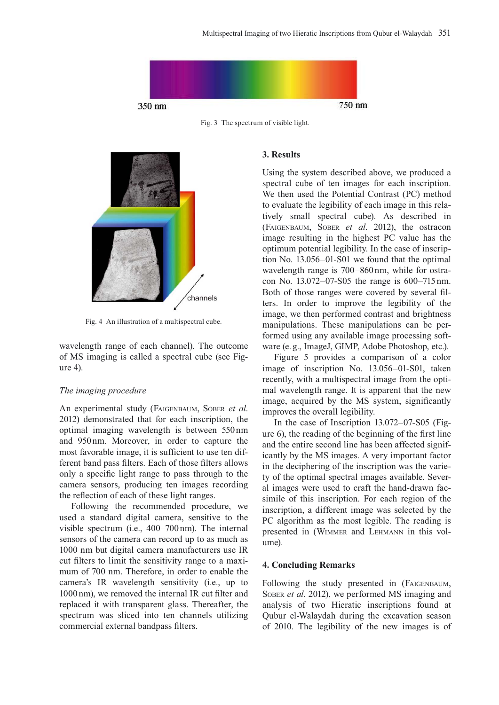

Fig. 3 The spectrum of visible light.



Fig. 4 An illustration of a multispectral cube.

wavelength range of each channel). The outcome of MS imaging is called a spectral cube (see Figure 4).

## *The imaging procedure*

An experimental study (FAIGENBAUM, SOBER et al. 2012) demonstrated that for each inscription, the optimal imaging wavelength is between 550nm and 950nm. Moreover, in order to capture the most favorable image, it is sufficient to use ten different band pass filters. Each of those filters allows only a specific light range to pass through to the camera sensors, producing ten images recording the reflection of each of these light ranges.

Following the recommended procedure, we used a standard digital camera, sensitive to the visible spectrum (i.e.,  $400-700$  nm). The internal sensors of the camera can record up to as much as 1000 nm but digital camera manufacturers use IR cut filters to limit the sensitivity range to a maximum of 700 nm. Therefore, in order to enable the camera's IR wavelength sensitivity (i.e., up to 1000 nm), we removed the internal IR cut filter and replaced it with transparent glass. Thereafter, the spectrum was sliced into ten channels utilizing commercial external bandpass filters.

#### **3. Results**

Using the system described above, we produced a spectral cube of ten images for each inscription. We then used the Potential Contrast (PC) method to evaluate the legibility of each image in this rela tively small spectral cube). As described in (FAIGENBAUM, SOBER *et al.* 2012), the ostracon image resulting in the highest PC value has the optimum potential legibility. In the case of inscription No.  $13.056 - 01 - S01$  we found that the optimal wavelength range is 700-860 nm, while for ostracon No.  $13.072 - 07 - S05$  the range is  $600 - 715$  nm. Both of those ranges were covered by several filters. In order to improve the legibility of the image, we then performed contrast and brightness manipulations. These manipulations can be performed using any available image processing soft ware (e.g., ImageJ, GIMP, Adobe Photoshop, etc.).

Figure 5 provides a comparison of a color image of inscription No. 13.056-01-S01, taken recently, with a multispectral image from the optimal wavelength range. It is apparent that the new image, acquired by the MS system, significantly improves the overall legibility.

In the case of Inscription  $13.072 - 07 - S05$  (Figure  $6$ ), the reading of the beginning of the first line and the entire second line has been affected signif icantly by the MS images. A very important factor in the deciphering of the inscription was the variety of the optimal spectral images available. Several images were used to craft the hand-drawn facsimile of this inscription. For each region of the inscription, a different image was selected by the PC algorithm as the most legible. The reading is presented in (WIMMER and LEHMANN in this volume).

## **4. Concluding Remarks**

Following the study presented in (FAIGENBAUM, SOBER et al. 2012), we performed MS imaging and analysis of two Hieratic inscriptions found at Qubur el-Walaydah during the excavation season of 2010. The legibility of the new images is of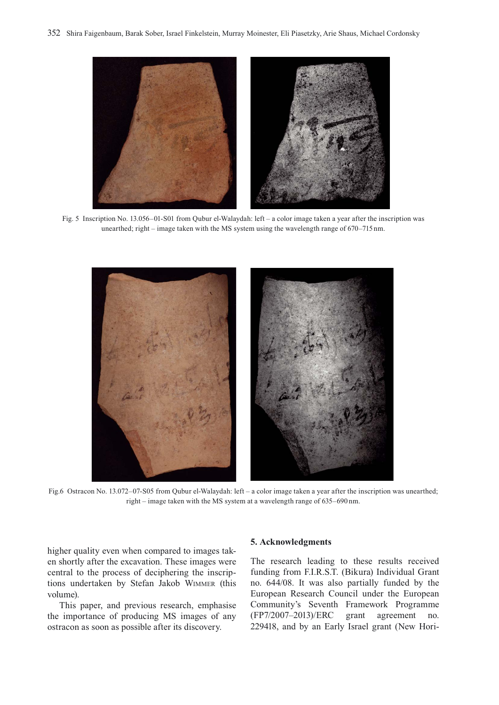

Fig. 5 Inscription No. 13.056–01-S01 from Qubur el-Walaydah: left – a color image taken a year after the inscription was unearthed; right – image taken with the MS system using the wavelength range of 670–715 nm.



Fig.6 Ostracon No. 13.072-07-S05 from Oubur el-Walaydah: left – a color image taken a year after the inscription was unearthed: right – image taken with the MS system at a wavelength range of 635–690 nm.

higher quality even when compared to images taken shortly after the excavation. These images were central to the process of deciphering the inscriptions undertaken by Stefan Jakob WIMMER (this volume).

This paper, and previous research, emphasise the importance of producing MS images of any ostracon as soon as possible after its discovery.

#### 5. Acknowledgments

The research leading to these results received funding from F.I.R.S.T. (Bikura) Individual Grant no. 644/08. It was also partially funded by the European Research Council under the European Community's Seventh Framework Programme (FP7/2007-2013)/ERC grant agreement no. 229418, and by an Early Israel grant (New Hori